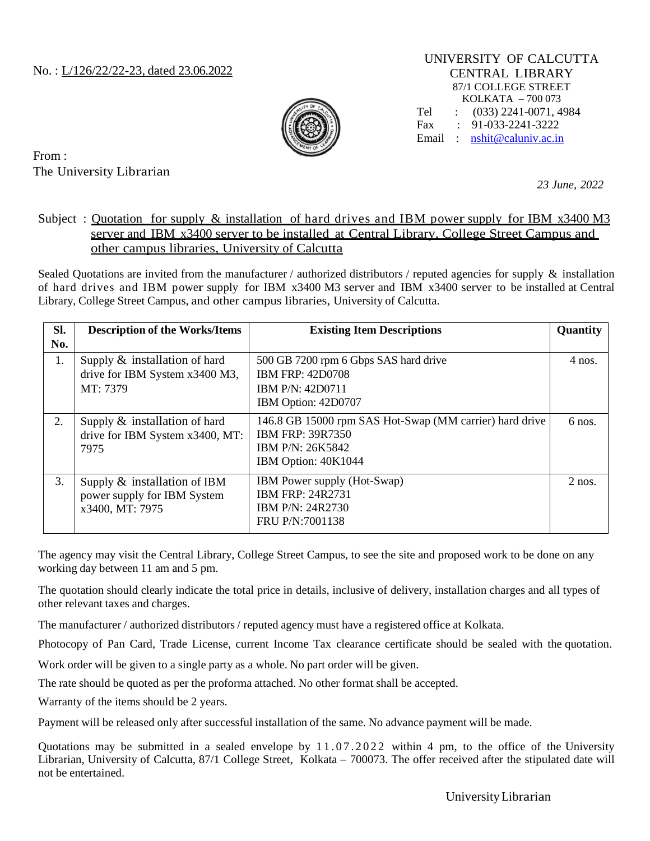### No. : L/126/22/22-23, dated 23.06.2022

UNIVERSITY OF CALCUTTA CENTRAL LIBRARY 87/1 COLLEGE STREET KOLKATA – 700 073 Tel : (033) 2241-0071, 4984 Fax : 91-033-2241-3222 Email : [nshit@caluniv.ac.in](mailto:nshit@caluniv.ac.in)



From : The University Librarian

*23 June, 2022*

### Subject : Quotation for supply & installation of hard drives and IBM power supply for IBM x3400 M3 server and IBM x3400 server to be installed at Central Library, College Street Campus and other campus libraries, University of Calcutta

Sealed Quotations are invited from the manufacturer / authorized distributors / reputed agencies for supply  $\&$  installation of hard drives and IBM power supply for IBM x3400 M3 server and IBM x3400 server to be installed at Central Library, College Street Campus, and other campus libraries, University of Calcutta.

| Sl.<br>No. | <b>Description of the Works/Items</b>                                             | <b>Existing Item Descriptions</b>                                                                                             | Quantity |
|------------|-----------------------------------------------------------------------------------|-------------------------------------------------------------------------------------------------------------------------------|----------|
| 1.         | Supply & installation of hard<br>drive for IBM System x3400 M3,<br>MT: 7379       | 500 GB 7200 rpm 6 Gbps SAS hard drive<br><b>IBM FRP: 42D0708</b><br>IBM P/N: 42D0711<br>IBM Option: 42D0707                   | 4 nos.   |
| 2.         | Supply $\&$ installation of hard<br>drive for IBM System x3400, MT:<br>7975       | 146.8 GB 15000 rpm SAS Hot-Swap (MM carrier) hard drive<br><b>IBM FRP: 39R7350</b><br>IBM P/N: 26K5842<br>IBM Option: 40K1044 | $6$ nos. |
| 3.         | Supply $\&$ installation of IBM<br>power supply for IBM System<br>x3400, MT: 7975 | <b>IBM</b> Power supply (Hot-Swap)<br><b>IBM FRP: 24R2731</b><br>IBM P/N: 24R2730<br>FRU P/N:7001138                          | $2$ nos. |

The agency may visit the Central Library, College Street Campus, to see the site and proposed work to be done on any working day between 11 am and 5 pm.

The quotation should clearly indicate the total price in details, inclusive of delivery, installation charges and all types of other relevant taxes and charges.

The manufacturer / authorized distributors / reputed agency must have a registered office at Kolkata.

Photocopy of Pan Card, Trade License, current Income Tax clearance certificate should be sealed with the quotation.

Work order will be given to a single party as a whole. No part order will be given.

The rate should be quoted as per the proforma attached. No other format shall be accepted.

Warranty of the items should be 2 years.

Payment will be released only after successful installation of the same. No advance payment will be made.

Quotations may be submitted in a sealed envelope by  $11.07.2022$  within 4 pm, to the office of the University Librarian, University of Calcutta, 87/1 College Street, Kolkata – 700073. The offer received after the stipulated date will not be entertained.

UniversityLibrarian